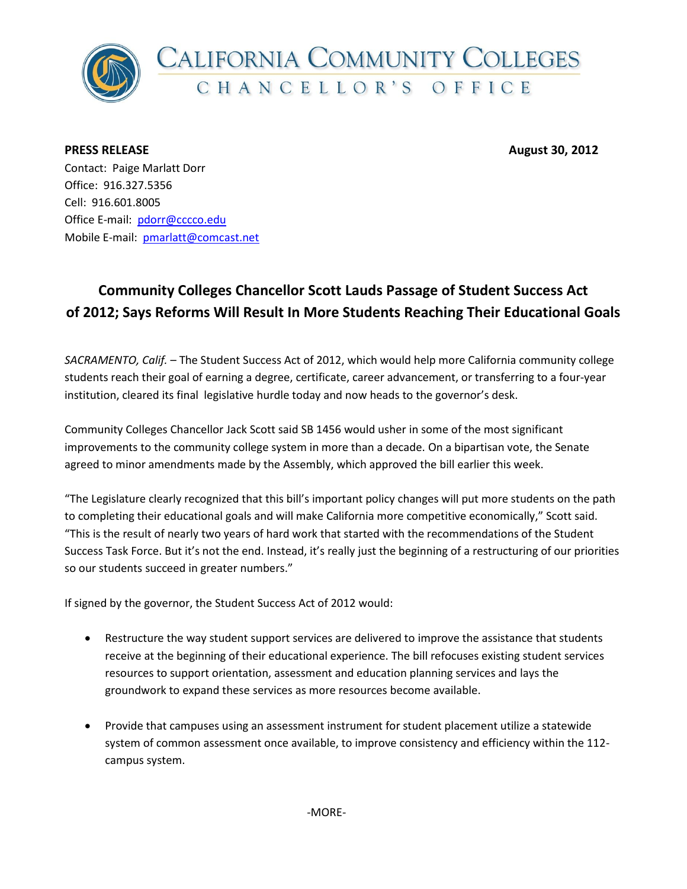

**PRESS RELEASE August 30, 2012**

Contact: Paige Marlatt Dorr Office: 916.327.5356 Cell: 916.601.8005 Office E-mail: [pdorr@cccco.edu](mailto:pdorr@cccco.edu) Mobile E-mail: [pmarlatt@comcast.net](mailto:pmarlatt@comcast.net)

## **Community Colleges Chancellor Scott Lauds Passage of Student Success Act of 2012; Says Reforms Will Result In More Students Reaching Their Educational Goals**

*SACRAMENTO, Calif.* – The Student Success Act of 2012, which would help more California community college students reach their goal of earning a degree, certificate, career advancement, or transferring to a four-year institution, cleared its final legislative hurdle today and now heads to the governor's desk.

Community Colleges Chancellor Jack Scott said SB 1456 would usher in some of the most significant improvements to the community college system in more than a decade. On a bipartisan vote, the Senate agreed to minor amendments made by the Assembly, which approved the bill earlier this week.

"The Legislature clearly recognized that this bill's important policy changes will put more students on the path to completing their educational goals and will make California more competitive economically," Scott said. "This is the result of nearly two years of hard work that started with the recommendations of the Student Success Task Force. But it's not the end. Instead, it's really just the beginning of a restructuring of our priorities so our students succeed in greater numbers."

If signed by the governor, the Student Success Act of 2012 would:

- Restructure the way student support services are delivered to improve the assistance that students receive at the beginning of their educational experience. The bill refocuses existing student services resources to support orientation, assessment and education planning services and lays the groundwork to expand these services as more resources become available.
- Provide that campuses using an assessment instrument for student placement utilize a statewide system of common assessment once available, to improve consistency and efficiency within the 112 campus system.